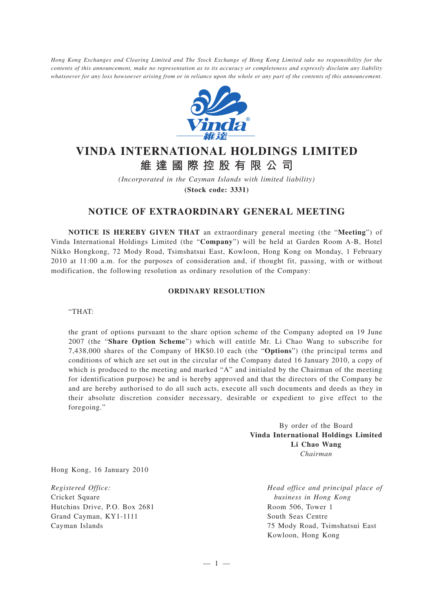*Hong Kong Exchanges and Clearing Limited and The Stock Exchange of Hong Kong Limited take no responsibility for the contents of this announcement, make no representation as to its accuracy or completeness and expressly disclaim any liability whatsoever for any loss howsoever arising from or in reliance upon the whole or any part of the contents of this announcement.*



## **VINDA INTERNATIONAL HOLDINGS LIMITED 維達國際控股有限公司**

*(Incorporated in the Cayman Islands with limited liability)* **(Stock code: 3331)**

## **NOTICE OF EXTRAORDINARY GENERAL MEETING**

**NOTICE IS HEREBY GIVEN THAT** an extraordinary general meeting (the "**Meeting**") of Vinda International Holdings Limited (the "**Company**") will be held at Garden Room A-B, Hotel Nikko Hongkong, 72 Mody Road, Tsimshatsui East, Kowloon, Hong Kong on Monday, 1 February 2010 at 11:00 a.m. for the purposes of consideration and, if thought fit, passing, with or without modification, the following resolution as ordinary resolution of the Company:

## **ORDINARY RESOLUTION**

"THAT:

the grant of options pursuant to the share option scheme of the Company adopted on 19 June 2007 (the "**Share Option Scheme**") which will entitle Mr. Li Chao Wang to subscribe for 7,438,000 shares of the Company of HK\$0.10 each (the "**Options**") (the principal terms and conditions of which are set out in the circular of the Company dated 16 January 2010, a copy of which is produced to the meeting and marked "A" and initialed by the Chairman of the meeting for identification purpose) be and is hereby approved and that the directors of the Company be and are hereby authorised to do all such acts, execute all such documents and deeds as they in their absolute discretion consider necessary, desirable or expedient to give effect to the foregoing."

> By order of the Board **Vinda International Holdings Limited Li Chao Wang** *Chairman*

Hong Kong, 16 January 2010

*Registered Office:* Cricket Square Hutchins Drive, P.O. Box 2681 Grand Cayman, KY1-1111 Cayman Islands

*Head office and principal place of business in Hong Kong* Room 506, Tower 1 South Seas Centre 75 Mody Road, Tsimshatsui East Kowloon, Hong Kong